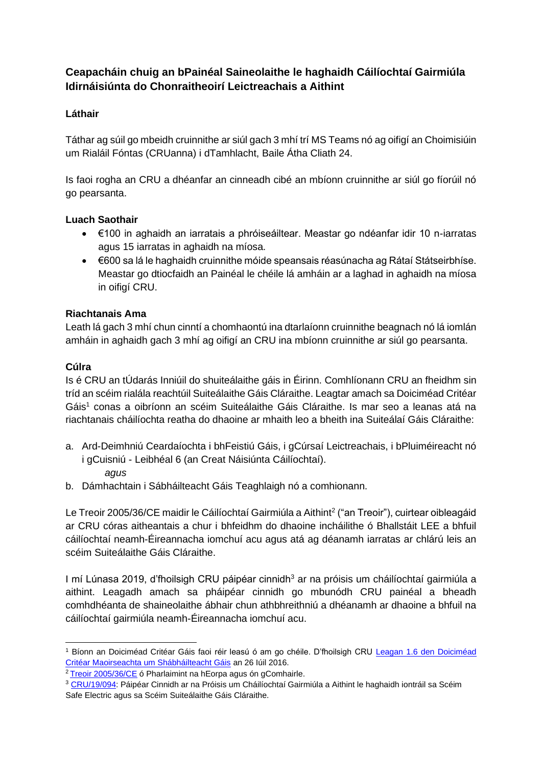# **Ceapacháin chuig an bPainéal Saineolaithe le haghaidh Cáilíochtaí Gairmiúla Idirnáisiúnta do Chonraitheoirí Leictreachais a Aithint**

## **Láthair**

Táthar ag súil go mbeidh cruinnithe ar siúl gach 3 mhí trí MS Teams nó ag oifigí an Choimisiúin um Rialáil Fóntas (CRUanna) i dTamhlacht, Baile Átha Cliath 24.

Is faoi rogha an CRU a dhéanfar an cinneadh cibé an mbíonn cruinnithe ar siúl go fíorúil nó go pearsanta.

#### **Luach Saothair**

- €100 in aghaidh an iarratais a phróiseáiltear. Meastar go ndéanfar idir 10 n-iarratas agus 15 iarratas in aghaidh na míosa.
- €600 sa lá le haghaidh cruinnithe móide speansais réasúnacha ag Rátaí Státseirbhíse. Meastar go dtiocfaidh an Painéal le chéile lá amháin ar a laghad in aghaidh na míosa in oifigí CRU.

## **Riachtanais Ama**

Leath lá gach 3 mhí chun cinntí a chomhaontú ina dtarlaíonn cruinnithe beagnach nó lá iomlán amháin in aghaidh gach 3 mhí ag oifigí an CRU ina mbíonn cruinnithe ar siúl go pearsanta.

## **Cúlra**

Is é CRU an tÚdarás Inniúil do shuiteálaithe gáis in Éirinn. Comhlíonann CRU an fheidhm sin tríd an scéim rialála reachtúil Suiteálaithe Gáis Cláraithe. Leagtar amach sa Doiciméad Critéar Gáis<sup>1</sup> conas a oibríonn an scéim Suiteálaithe Gáis Cláraithe. Is mar seo a leanas atá na riachtanais cháilíochta reatha do dhaoine ar mhaith leo a bheith ina Suiteálaí Gáis Cláraithe:

- a. Ard-Deimhniú Ceardaíochta i bhFeistiú Gáis, i gCúrsaí Leictreachais, i bPluiméireacht nó i gCuisniú - Leibhéal 6 (an Creat Náisiúnta Cáilíochtaí). *agus*
- b. Dámhachtain i Sábháilteacht Gáis Teaghlaigh nó a comhionann.

Le Treoir 2005/36/CE maidir le Cáilíochtaí Gairmiúla a Aithint<sup>2</sup> ("an Treoir"), cuirtear oibleagáid ar CRU córas aitheantais a chur i bhfeidhm do dhaoine incháilithe ó Bhallstáit LEE a bhfuil cáilíochtaí neamh-Éireannacha iomchuí acu agus atá ag déanamh iarratas ar chlárú leis an scéim Suiteálaithe Gáis Cláraithe.

I mí Lúnasa 2019, d'fhoilsigh CRU páipéar cinnidh<sup>3</sup> ar na próisis um cháilíochtaí gairmiúla a aithint. Leagadh amach sa pháipéar cinnidh go mbunódh CRU painéal a bheadh comhdhéanta de shaineolaithe ábhair chun athbhreithniú a dhéanamh ar dhaoine a bhfuil na cáilíochtaí gairmiúla neamh-Éireannacha iomchuí acu.

<sup>&</sup>lt;sup>1</sup> Bíonn an Doiciméad Critéar Gáis faoi réir leasú ó am go chéile. D'fhoilsigh CRU Leagan 1.6 den Doiciméad [Critéar Maoirseachta um Shábháilteacht Gáis](https://www.cru.ie/wp-content/uploads/2016/07/CER16222-Criteria-Document-Version-1.6.pdf) an 26 Iúil 2016.

<sup>2</sup> [Treoir 2005/36/CE](http://eur-lex.europa.eu/legal-content/EN/TXT/?uri=CELEX:02005L0036-20140117) ó Pharlaimint na hEorpa agus ón gComhairle.

<sup>3</sup> [CRU/19/094:](https://www.cru.ie/wp-content/uploads/2019/08/CRU19103-Decision-Paper-on-the-Proposed-Recognition-Processes-Professional-Qualifications-Gas-and-Electrical.pdf) Páipéar Cinnidh ar na Próisis um Cháilíochtaí Gairmiúla a Aithint le haghaidh iontráil sa Scéim Safe Electric agus sa Scéim Suiteálaithe Gáis Cláraithe.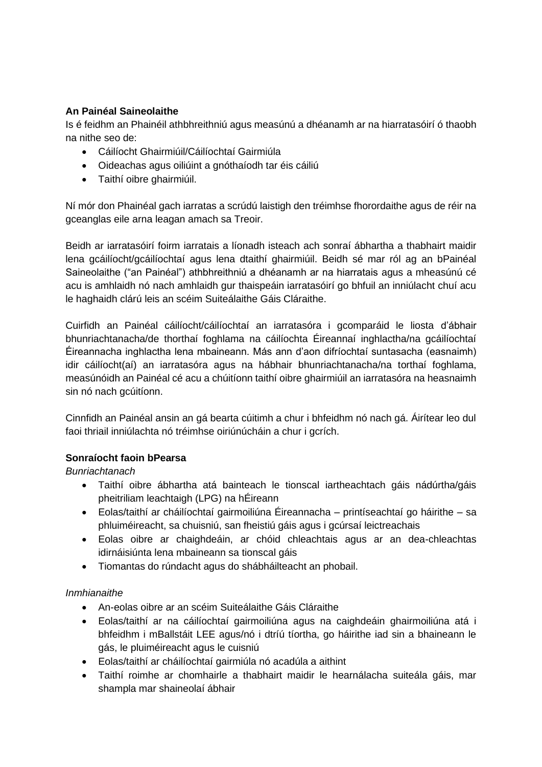#### **An Painéal Saineolaithe**

Is é feidhm an Phainéil athbhreithniú agus measúnú a dhéanamh ar na hiarratasóirí ó thaobh na nithe seo de:

- Cáilíocht Ghairmiúil/Cáilíochtaí Gairmiúla
- Oideachas agus oiliúint a gnóthaíodh tar éis cáiliú
- Taithí oibre ghairmiúil.

Ní mór don Phainéal gach iarratas a scrúdú laistigh den tréimhse fhorordaithe agus de réir na gceanglas eile arna leagan amach sa Treoir.

Beidh ar iarratasóirí foirm iarratais a líonadh isteach ach sonraí ábhartha a thabhairt maidir lena gcáilíocht/gcáilíochtaí agus lena dtaithí ghairmiúil. Beidh sé mar ról ag an bPainéal Saineolaithe ("an Painéal") athbhreithniú a dhéanamh ar na hiarratais agus a mheasúnú cé acu is amhlaidh nó nach amhlaidh gur thaispeáin iarratasóirí go bhfuil an inniúlacht chuí acu le haghaidh clárú leis an scéim Suiteálaithe Gáis Cláraithe.

Cuirfidh an Painéal cáilíocht/cáilíochtaí an iarratasóra i gcomparáid le liosta d'ábhair bhunriachtanacha/de thorthaí foghlama na cáilíochta Éireannaí inghlactha/na gcáilíochtaí Éireannacha inghlactha lena mbaineann. Más ann d'aon difríochtaí suntasacha (easnaimh) idir cáilíocht(aí) an iarratasóra agus na hábhair bhunriachtanacha/na torthaí foghlama, measúnóidh an Painéal cé acu a chúitíonn taithí oibre ghairmiúil an iarratasóra na heasnaimh sin nó nach gcúitíonn.

Cinnfidh an Painéal ansin an gá bearta cúitimh a chur i bhfeidhm nó nach gá. Áirítear leo dul faoi thriail inniúlachta nó tréimhse oiriúnúcháin a chur i gcrích.

#### **Sonraíocht faoin bPearsa**

*Bunriachtanach*

- Taithí oibre ábhartha atá bainteach le tionscal iartheachtach gáis nádúrtha/gáis pheitriliam leachtaigh (LPG) na hÉireann
- Eolas/taithí ar cháilíochtaí gairmoiliúna Éireannacha printíseachtaí go háirithe sa phluiméireacht, sa chuisniú, san fheistiú gáis agus i gcúrsaí leictreachais
- Eolas oibre ar chaighdeáin, ar chóid chleachtais agus ar an dea-chleachtas idirnáisiúnta lena mbaineann sa tionscal gáis
- Tiomantas do rúndacht agus do shábháilteacht an phobail.

#### *Inmhianaithe*

- An-eolas oibre ar an scéim Suiteálaithe Gáis Cláraithe
- Eolas/taithí ar na cáilíochtaí gairmoiliúna agus na caighdeáin ghairmoiliúna atá i bhfeidhm i mBallstáit LEE agus/nó i dtríú tíortha, go háirithe iad sin a bhaineann le gás, le pluiméireacht agus le cuisniú
- Eolas/taithí ar cháilíochtaí gairmiúla nó acadúla a aithint
- Taithí roimhe ar chomhairle a thabhairt maidir le hearnálacha suiteála gáis, mar shampla mar shaineolaí ábhair